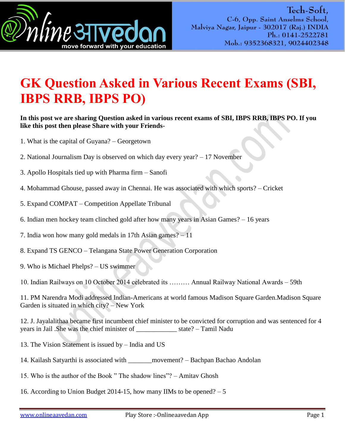

## **GK Question Asked in Various Recent Exams (SBI, IBPS RRB, IBPS PO)**

## **In this post we are sharing Question asked in various recent exams of SBI, IBPS RRB, IBPS PO. If you like this post then please Share with your Friends-**

- 1. What is the capital of Guyana? Georgetown
- 2. National Journalism Day is observed on which day every year? 17 November
- 3. Apollo Hospitals tied up with Pharma firm Sanofi
- 4. Mohammad Ghouse, passed away in Chennai. He was associated with which sports? Cricket
- 5. Expand COMPAT Competition Appellate Tribunal
- 6. Indian men hockey team clinched gold after how many years in Asian Games? 16 years

7. India won how many gold medals in 17th Asian games? – 11

- 8. Expand TS GENCO Telangana State Power Generation Corporation
- 9. Who is Michael Phelps? US swimmer
- 10. Indian Railways on 10 October 2014 celebrated its ……… Annual Railway National Awards 59th

11. PM Narendra Modi addressed Indian-Americans at world famous Madison Square Garden.Madison Square Garden is situated in which city? – New York

12. J. Jayalalithaa became first incumbent chief minister to be convicted for corruption and was sentenced for 4 years in Jail .She was the chief minister of \_\_\_\_\_\_\_\_\_\_\_\_ state? – Tamil Nadu

- 13. The Vision Statement is issued by India and US
- 14. Kailash Satyarthi is associated with \_\_\_\_\_\_\_movement? Bachpan Bachao Andolan
- 15. Who is the author of the Book " The shadow lines"? Amitav Ghosh
- 16. According to Union Budget 2014-15, how many IIMs to be opened?  $-5$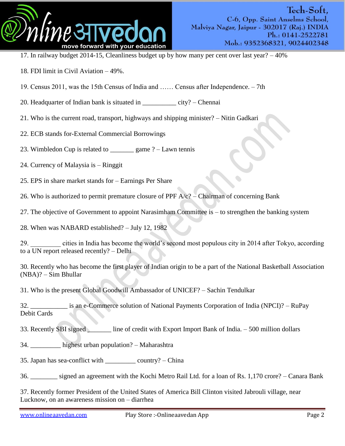

- 17. In railway budget 2014-15, Cleanliness budget up by how many per cent over last year? 40%
- 18. FDI limit in Civil Aviation 49%.
- 19. Census 2011, was the 15th Census of India and …… Census after Independence. 7th
- 20. Headquarter of Indian bank is situated in \_\_\_\_\_\_\_\_\_\_ city? Chennai
- 21. Who is the current road, transport, highways and shipping minister? Nitin Gadkari
- 22. ECB stands for-External Commercial Borrowings
- 23. Wimbledon Cup is related to  $\qquad \qquad$  game ? Lawn tennis
- 24. Currency of Malaysia is Ringgit
- 25. EPS in share market stands for Earnings Per Share
- 26. Who is authorized to permit premature closure of PPF  $A/c$ ? Chairman of concerning Bank
- 27. The objective of Government to appoint Narasimham Committee is to strengthen the banking system
- 28. When was NABARD established? July 12, 1982
- 29. \_\_\_\_\_\_\_\_\_ cities in India has become the world"s second most populous city in 2014 after Tokyo, according to a UN report released recently? – Delhi
- 30. Recently who has become the first player of Indian origin to be a part of the National Basketball Association (NBA)? – Sim Bhullar
- 31. Who is the present Global Goodwill Ambassador of UNICEF? Sachin Tendulkar
- 32. \_\_\_\_\_\_\_\_\_\_\_ is an e-Commerce solution of National Payments Corporation of India (NPCI)? RuPay Debit Cards
- 33. Recently SBI signed line of credit with Export Import Bank of India. 500 million dollars
- 34. \_\_\_\_\_\_\_\_\_ highest urban population? Maharashtra
- 35. Japan has sea-conflict with  $\text{country?} \text{China}$
- 36. \_\_\_\_\_\_\_\_ signed an agreement with the Kochi Metro Rail Ltd. for a loan of Rs. 1,170 crore? Canara Bank
- 37. Recently former President of the United States of America Bill Clinton visited Jabrouli village, near Lucknow, on an awareness mission on – diarrhea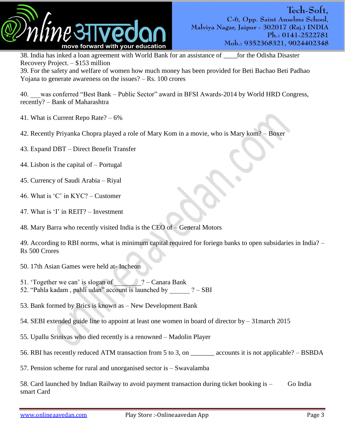

38. India has inked a loan agreement with World Bank for an assistance of \_\_\_\_for the Odisha Disaster Recovery Project. – \$153 million

39. For the safety and welfare of women how much money has been provided for Beti Bachao Beti Padhao Yojana to generate awareness on the issues? – Rs. 100 crores

40. was conferred "Best Bank – Public Sector" award in BFSI Awards-2014 by World HRD Congress, recently? – Bank of Maharashtra

41. What is Current Repo Rate? – 6%

42. Recently Priyanka Chopra played a role of Mary Kom in a movie, who is Mary kom? – Boxer

43. Expand DBT – Direct Benefit Transfer

- 44. Lisbon is the capital of Portugal
- 45. Currency of Saudi Arabia Riyal
- 46. What is  $^{\circ}$ C' in KYC? Customer
- 47. What is 'I' in REIT? Investment
- 48. Mary Barra who recently visited India is the CEO of General Motors

49. According to RBI norms, what is minimum capital required for foriegn banks to open subsidaries in India? – Rs 500 Crores

- 50. 17th Asian Games were held at- Incheon
- 51. Together we can' is slogan of  $\sqrt{?}$  Canara Bank
- 52. "Pahla kadam, pahli udan" account is launched by  $? SBI$
- 53. Bank formed by Brics is known as New Development Bank
- 54. SEBI extended guide line to appoint at least one women in board of director by 31march 2015
- 55. Upallu Srinivas who died recently is a renowned Madolin Player
- 56. RBI has recently reduced ATM transaction from 5 to 3, on \_\_\_\_\_\_\_ accounts it is not applicable? BSBDA
- 57. Pension scheme for rural and unorganised sector is Swavalamba

58. Card launched by Indian Railway to avoid payment transaction during ticket booking is – Go India smart Card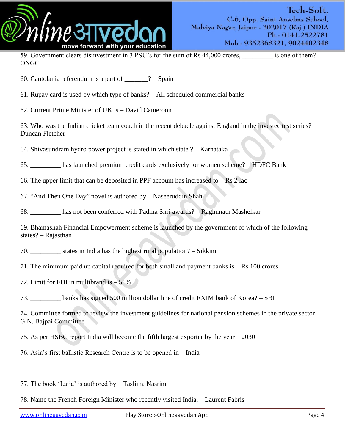

59. Government clears disinvestment in 3 PSU's for the sum of Rs 44,000 crores, is one of them? – ONGC

60. Cantolania referendum is a part of  $? -$ Spain

61. Rupay card is used by which type of banks? – All scheduled commercial banks

62. Current Prime Minister of UK is – David Cameroon

63. Who was the Indian cricket team coach in the recent debacle against England in the investec test series? – Duncan Fletcher

64. Shivasundram hydro power project is stated in which state ? – Karnataka

65. \_\_\_\_\_\_\_\_\_ has launched premium credit cards exclusively for women scheme? – HDFC Bank

66. The upper limit that can be deposited in PPF account has increased to  $-$  Rs 2 lac

67. "And Then One Day" novel is authored by – Naseeruddin Shah

68. \_\_\_\_\_\_\_\_\_ has not been conferred with Padma Shri awards? – Raghunath Mashelkar

69. Bhamashah Financial Empowerment scheme is launched by the government of which of the following states? – Rajasthan

70. \_\_\_\_\_\_\_\_\_ states in India has the highest rural population? – Sikkim

71. The minimum paid up capital required for both small and payment banks is – Rs 100 crores

72. Limit for FDI in multibrand is – 51%

73. \_\_\_\_\_\_\_\_\_ banks has signed 500 million dollar line of credit EXIM bank of Korea? – SBI

74. Committee formed to review the investment guidelines for national pension schemes in the private sector – G.N. Bajpai Committee

75. As per HSBC report India will become the fifth largest exporter by the year – 2030

76. Asia"s first ballistic Research Centre is to be opened in – India

77. The book "Lajja" is authored by – Taslima Nasrim

78. Name the French Foreign Minister who recently visited India. – Laurent Fabris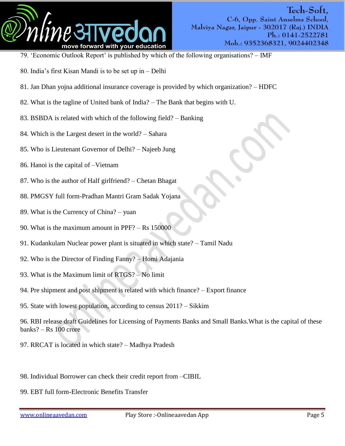

- 79. 'Economic Outlook Report' is published by which of the following organisations? IMF
- 80. India"s first Kisan Mandi is to be set up in Delhi
- 81. Jan Dhan yojna additional insurance coverage is provided by which organization? HDFC
- 82. What is the tagline of United bank of India? The Bank that begins with U.
- 83. BSBDA is related with which of the following field? Banking
- 84. Which is the Largest desert in the world? Sahara
- 85. Who is Lieutenant Governor of Delhi? Najeeb Jung
- 86. Hanoi is the capital of –Vietnam
- 87. Who is the author of Half girlfriend? Chetan Bhagat
- 88. PMGSY full form-Pradhan Mantri Gram Sadak Yojana
- 89. What is the Currency of China? yuan
- 90. What is the maximum amount in PPF? Rs 150000
- 91. Kudankulam Nuclear power plant is situated in which state? Tamil Nadu
- 92. Who is the Director of Finding Fanny? Homi Adajania
- 93. What is the Maximum limit of RTGS? No limit
- 94. Pre shipment and post shipment is related with which finance? Export finance
- 95. State with lowest population, according to census 2011? Sikkim
- 96. RBI release draft Guidelines for Licensing of Payments Banks and Small Banks.What is the capital of these banks? – Rs 100 crore
- 97. RRCAT is located in which state? Madhya Pradesh
- 98. Individual Borrower can check their credit report from –CIBIL
- 99. EBT full form-Electronic Benefits Transfer